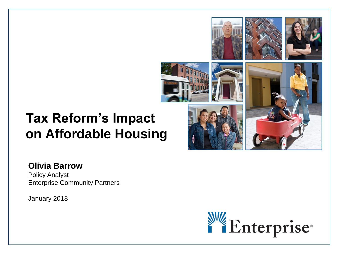# **Tax Reform's Impact on Affordable Housing**



### **Olivia Barrow**

Policy Analyst Enterprise Community Partners

January 2018

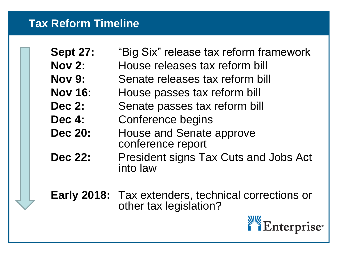### **Tax Reform Timeline**

- **Sept 27:** "Big Six" release tax reform framework
- **Nov 2:** House releases tax reform bill
- **Nov 9:** Senate releases tax reform bill
- **Nov 16:** House passes tax reform bill
- **Dec 2:** Senate passes tax reform bill
- **Dec 4:** Conference begins
- **Dec 20:** House and Senate approve conference report
- **Dec 22:** President signs Tax Cuts and Jobs Act into law

**Early 2018:** Tax extenders, technical corrections or other tax legislation?

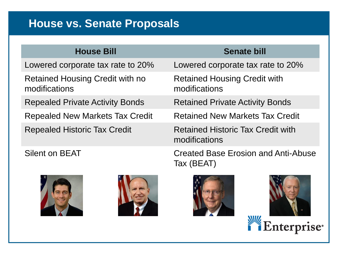### **House vs. Senate Proposals**

### **House Bill Senate bill**

Retained Housing Credit with no modifications

Repealed Private Activity Bonds Retained Private Activity Bonds

Repealed New Markets Tax Credit Retained New Markets Tax Credit





Lowered corporate tax rate to 20% Lowered corporate tax rate to 20%

Retained Housing Credit with modifications

Repealed Historic Tax Credit **Retained Historic Tax Credit with** modifications

Silent on BEAT Created Base Erosion and Anti-Abuse Tax (BEAT)



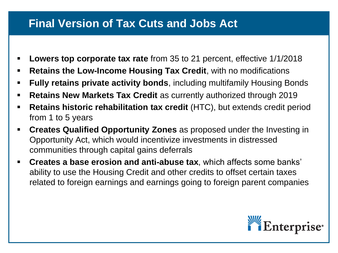### **Final Version of Tax Cuts and Jobs Act**

- **Lowers top corporate tax rate** from 35 to 21 percent, effective 1/1/2018
- **Retains the Low-Income Housing Tax Credit, with no modifications**
- **Fully retains private activity bonds**, including multifamily Housing Bonds
- **Retains New Markets Tax Credit** as currently authorized through 2019
- **Retains historic rehabilitation tax credit** (HTC), but extends credit period from 1 to 5 years
- **Creates Qualified Opportunity Zones** as proposed under the Investing in Opportunity Act, which would incentivize investments in distressed communities through capital gains deferrals
- **Creates a base erosion and anti-abuse tax**, which affects some banks' ability to use the Housing Credit and other credits to offset certain taxes related to foreign earnings and earnings going to foreign parent companies

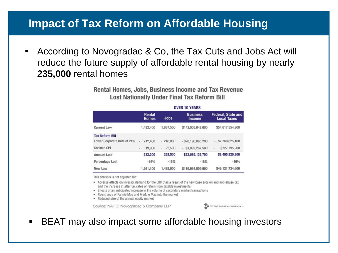### **Impact of Tax Reform on Affordable Housing**

■ According to Novogradac & Co, the Tax Cuts and Jobs Act will reduce the future supply of affordable rental housing by nearly **235,000** rental homes

> Rental Homes, Jobs, Business Income and Tax Revenue **Lost Nationally Under Final Tax Reform Bill**

|                             | Rental<br><b>Homes</b>                 | <b>Jobs</b> | <b>Business</b><br>Income | <b>Federal, State and</b><br><b>Local Taxes</b> |
|-----------------------------|----------------------------------------|-------------|---------------------------|-------------------------------------------------|
| <b>Current Law</b>          | 1,493,400                              | 1,687,500   | \$142,005,642,600         | \$54,617,554,900                                |
| <b>Tax Reform Bill</b>      |                                        |             |                           |                                                 |
| Lower Corporate Rate of 21% | 212,400<br>÷                           | $-240,000$  | $-$ \$20,196,865,200      | \$7,768,025,100<br>$\sim$                       |
| <b>Chained CPI</b>          | 19,900<br>$\qquad \qquad \blacksquare$ | 22,500<br>۰ | \$1,892,267,500<br>$\sim$ | \$727,795,200<br>$\sim$                         |
| <b>Amount Lost</b>          | 232,300                                | 262.500     | \$22,089,132,700          | \$8,495,820,300                                 |
| Percentage Lost             | $-16%$                                 | $-16%$      | $-16%$                    | $-16%$                                          |
| New Law                     | 1.261.100                              | 1,425,000   | \$119,916,509,900         | \$46,121,734,600                                |

#### **OVER 10 YEARS**

This analysis is not adjusted for:

- . Adverse effects on investor demand for the LIHTC as a result of the new base erosion and anti-abuse tax and the increase in after tax rates of return from taxable investments
- Effects of an anticipated increase in the volume of secondary market transactions
- . Reentrance of Fannie Mae and Freddie Mac into the market
- . Reduced size of the annual equity market

Source: NAHB; Novogradac & Company LLP



■ BEAT may also impact some affordable housing investors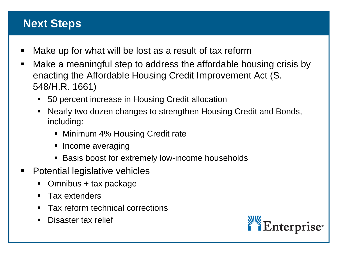### **Next Steps**

- Make up for what will be lost as a result of tax reform
- Make a meaningful step to address the affordable housing crisis by enacting the Affordable Housing Credit Improvement Act (S. 548/H.R. 1661)
	- 50 percent increase in Housing Credit allocation
	- Nearly two dozen changes to strengthen Housing Credit and Bonds, including:
		- Minimum 4% Housing Credit rate
		- Income averaging
		- Basis boost for extremely low-income households
- Potential legislative vehicles
	- Omnibus + tax package
	- Tax extenders
	- Tax reform technical corrections
	- Disaster tax relief

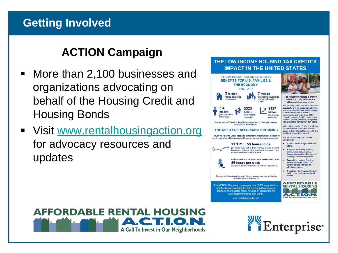### **Getting Involved**

### **ACTION Campaign**

- More than 2,100 businesses and organizations advocating on behalf of the Housing Credit and Housing Bonds
- Visit [www.rentalhousingaction.org](http://www.rentalhousingaction.org/) for advocacy resources and updates

#### THE LOW-INCOME HOUSING TAX CREDIT'S **IMPACT IN THE UNITED STATES**



#### **AFFORDABLE RENTAL HOUSING** A) **FILO.** A Call To Invest in Our Neighborhoods